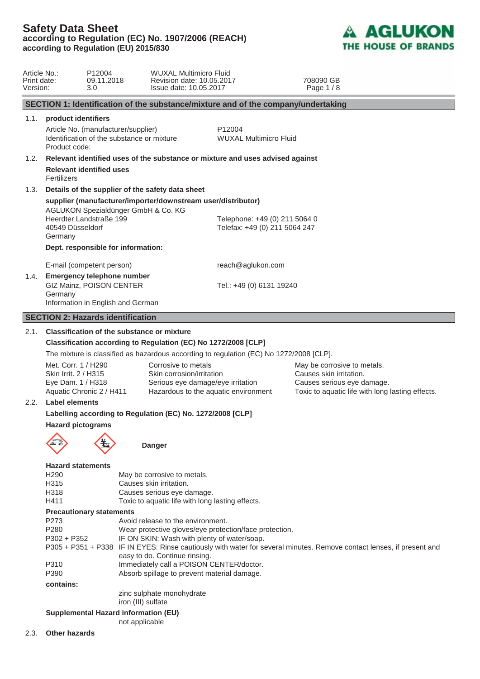

| Article No.:<br>Print date:<br>Version: |                                                                                                                       | P12004<br>09.11.2018<br>3.0                                                       | <b>WUXAL Multimicro Fluid</b><br>Revision date: 10.05.2017<br>Issue date: 10.05.2017                                                                                                                                                                                                                                                                                                                               |        |                                                                | 708090 GB<br>Page 1/8                                                                                                                    |
|-----------------------------------------|-----------------------------------------------------------------------------------------------------------------------|-----------------------------------------------------------------------------------|--------------------------------------------------------------------------------------------------------------------------------------------------------------------------------------------------------------------------------------------------------------------------------------------------------------------------------------------------------------------------------------------------------------------|--------|----------------------------------------------------------------|------------------------------------------------------------------------------------------------------------------------------------------|
|                                         |                                                                                                                       |                                                                                   | SECTION 1: Identification of the substance/mixture and of the company/undertaking                                                                                                                                                                                                                                                                                                                                  |        |                                                                |                                                                                                                                          |
| 1.1.                                    | product identifiers                                                                                                   |                                                                                   |                                                                                                                                                                                                                                                                                                                                                                                                                    |        |                                                                |                                                                                                                                          |
|                                         | Product code:                                                                                                         | Article No. (manufacturer/supplier)<br>Identification of the substance or mixture |                                                                                                                                                                                                                                                                                                                                                                                                                    | P12004 | <b>WUXAL Multimicro Fluid</b>                                  |                                                                                                                                          |
| 1.2.                                    |                                                                                                                       |                                                                                   | Relevant identified uses of the substance or mixture and uses advised against                                                                                                                                                                                                                                                                                                                                      |        |                                                                |                                                                                                                                          |
|                                         | Fertilizers                                                                                                           | <b>Relevant identified uses</b>                                                   |                                                                                                                                                                                                                                                                                                                                                                                                                    |        |                                                                |                                                                                                                                          |
| 1.3.                                    |                                                                                                                       |                                                                                   | Details of the supplier of the safety data sheet                                                                                                                                                                                                                                                                                                                                                                   |        |                                                                |                                                                                                                                          |
|                                         | 40549 Düsseldorf                                                                                                      | AGLUKON Spezialdünger GmbH & Co. KG<br>Heerdter Landstraße 199                    | supplier (manufacturer/importer/downstream user/distributor)                                                                                                                                                                                                                                                                                                                                                       |        | Telephone: +49 (0) 211 5064 0<br>Telefax: +49 (0) 211 5064 247 |                                                                                                                                          |
|                                         | Germany                                                                                                               |                                                                                   |                                                                                                                                                                                                                                                                                                                                                                                                                    |        |                                                                |                                                                                                                                          |
|                                         |                                                                                                                       | Dept. responsible for information:                                                |                                                                                                                                                                                                                                                                                                                                                                                                                    |        |                                                                |                                                                                                                                          |
|                                         |                                                                                                                       | E-mail (competent person)                                                         |                                                                                                                                                                                                                                                                                                                                                                                                                    |        | reach@aglukon.com                                              |                                                                                                                                          |
| 1.4.                                    | Germany                                                                                                               | <b>Emergency telephone number</b><br>GIZ Mainz, POISON CENTER                     |                                                                                                                                                                                                                                                                                                                                                                                                                    |        | Tel.: +49 (0) 6131 19240                                       |                                                                                                                                          |
|                                         |                                                                                                                       | Information in English and German                                                 |                                                                                                                                                                                                                                                                                                                                                                                                                    |        |                                                                |                                                                                                                                          |
|                                         |                                                                                                                       | <b>SECTION 2: Hazards identification</b>                                          |                                                                                                                                                                                                                                                                                                                                                                                                                    |        |                                                                |                                                                                                                                          |
| 2.1.                                    |                                                                                                                       | <b>Classification of the substance or mixture</b>                                 |                                                                                                                                                                                                                                                                                                                                                                                                                    |        |                                                                |                                                                                                                                          |
|                                         |                                                                                                                       |                                                                                   | Classification according to Regulation (EC) No 1272/2008 [CLP]                                                                                                                                                                                                                                                                                                                                                     |        |                                                                |                                                                                                                                          |
|                                         |                                                                                                                       |                                                                                   | The mixture is classified as hazardous according to regulation (EC) No 1272/2008 [CLP].                                                                                                                                                                                                                                                                                                                            |        |                                                                |                                                                                                                                          |
|                                         | Met. Corr. 1 / H290<br>Skin Irrit. 2 / H315<br>Eye Dam. 1 / H318                                                      | Aquatic Chronic 2 / H411                                                          | Corrosive to metals<br>Skin corrosion/irritation<br>Serious eye damage/eye irritation<br>Hazardous to the aquatic environment                                                                                                                                                                                                                                                                                      |        |                                                                | May be corrosive to metals.<br>Causes skin irritation.<br>Causes serious eye damage.<br>Toxic to aquatic life with long lasting effects. |
| 2.2.                                    | Label elements                                                                                                        |                                                                                   |                                                                                                                                                                                                                                                                                                                                                                                                                    |        |                                                                |                                                                                                                                          |
|                                         |                                                                                                                       |                                                                                   | Labelling according to Regulation (EC) No. 1272/2008 [CLP]                                                                                                                                                                                                                                                                                                                                                         |        |                                                                |                                                                                                                                          |
|                                         | <b>Hazard pictograms</b>                                                                                              |                                                                                   |                                                                                                                                                                                                                                                                                                                                                                                                                    |        |                                                                |                                                                                                                                          |
|                                         |                                                                                                                       |                                                                                   | <b>Danger</b>                                                                                                                                                                                                                                                                                                                                                                                                      |        |                                                                |                                                                                                                                          |
|                                         | <b>Hazard statements</b><br>H <sub>290</sub><br>H315<br>H318<br>H411<br>P273<br>P280<br>$P302 + P352$<br>P310<br>P390 | <b>Precautionary statements</b>                                                   | May be corrosive to metals.<br>Causes skin irritation.<br>Causes serious eye damage.<br>Toxic to aquatic life with long lasting effects.<br>Avoid release to the environment.<br>Wear protective gloves/eye protection/face protection.<br>IF ON SKIN: Wash with plenty of water/soap.<br>easy to do. Continue rinsing.<br>Immediately call a POISON CENTER/doctor.<br>Absorb spillage to prevent material damage. |        |                                                                | P305 + P351 + P338 IF IN EYES: Rinse cautiously with water for several minutes. Remove contact lenses, if present and                    |
|                                         | contains:                                                                                                             |                                                                                   |                                                                                                                                                                                                                                                                                                                                                                                                                    |        |                                                                |                                                                                                                                          |
|                                         |                                                                                                                       |                                                                                   | zinc sulphate monohydrate<br>iron (III) sulfate                                                                                                                                                                                                                                                                                                                                                                    |        |                                                                |                                                                                                                                          |
|                                         |                                                                                                                       | <b>Supplemental Hazard information (EU)</b><br>not applicable                     |                                                                                                                                                                                                                                                                                                                                                                                                                    |        |                                                                |                                                                                                                                          |
| 2.3.                                    | <b>Other hazards</b>                                                                                                  |                                                                                   |                                                                                                                                                                                                                                                                                                                                                                                                                    |        |                                                                |                                                                                                                                          |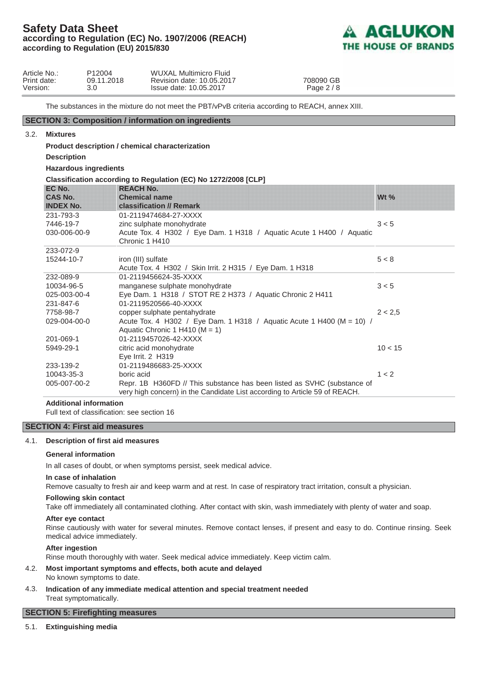

 $10 < 15$ 

 $1 < 2$ 

| Article No.:<br>Print date:<br>Version: | P12004<br>09.11.2018<br>3.0 | WUXAL Multimicro Fluid<br>Revision date: 10.05.2017<br>Issue date: 10.05.2017 | 708090 GB<br>Page $2/8$ |  |
|-----------------------------------------|-----------------------------|-------------------------------------------------------------------------------|-------------------------|--|
|-----------------------------------------|-----------------------------|-------------------------------------------------------------------------------|-------------------------|--|

The substances in the mixture do not meet the PBT/vPvB criteria according to REACH, annex XIII.

## **SECTION 3: Composition / information on ingredients**

#### 3.2. **Mixtures**

**Product description / chemical characterization**

**Description**

**Hazardous ingredients**

| <b>Hazardous ingredients</b>            |                                                                                                                                                                      |         |
|-----------------------------------------|----------------------------------------------------------------------------------------------------------------------------------------------------------------------|---------|
|                                         | Classification according to Regulation (EC) No 1272/2008 [CLP]                                                                                                       |         |
| EC No.<br>CAS No.<br><b>INDEX No.</b>   | <b>REACH No.</b><br><b>Chemical name</b><br><b>classification // Remark</b>                                                                                          | Wt $\%$ |
| 231-793-3<br>7446-19-7<br>030-006-00-9  | 01-2119474684-27-XXXX<br>zinc sulphate monohydrate<br>Acute Tox. 4 H302 / Eye Dam. 1 H318 / Aquatic Acute 1 H400 / Aquatic<br>Chronic 1 H410                         | 3 < 5   |
| 233-072-9<br>15244-10-7                 | iron (III) sulfate<br>Acute Tox. 4 H302 / Skin Irrit. 2 H315 / Eye Dam. 1 H318                                                                                       | 5 < 8   |
| 232-089-9<br>10034-96-5<br>025-003-00-4 | 01-2119456624-35-XXXX<br>manganese sulphate monohydrate<br>Eye Dam. 1 H318 / STOT RE 2 H373 / Aquatic Chronic 2 H411                                                 | 3 < 5   |
| 231-847-6<br>7758-98-7<br>029-004-00-0  | 01-2119520566-40-XXXX<br>copper sulphate pentahydrate<br>Acute Tox. 4 H302 / Eye Dam. 1 H318 / Aquatic Acute 1 H400 (M = 10) /<br>Aquatic Chronic 1 H410 ( $M = 1$ ) | 2 < 2.5 |
| 201-069-1                               | 01-2119457026-42-XXXX                                                                                                                                                |         |

## **Additional information**

5949-29-1

233-139-2 10043-35-3 005-007-00-2

Full text of classification: see section 16

#### **SECTION 4: First aid measures**

#### 4.1. **Description of first aid measures**

#### **General information**

In all cases of doubt, or when symptoms persist, seek medical advice.

citric acid monohydrate Eye Irrit. 2 H319

boric acid

01-2119486683-25-XXXX

#### **In case of inhalation**

Remove casualty to fresh air and keep warm and at rest. In case of respiratory tract irritation, consult a physician.

#### **Following skin contact**

Take off immediately all contaminated clothing. After contact with skin, wash immediately with plenty of water and soap.

Repr. 1B H360FD // This substance has been listed as SVHC (substance of very high concern) in the Candidate List according to Article 59 of REACH.

#### **After eye contact**

Rinse cautiously with water for several minutes. Remove contact lenses, if present and easy to do. Continue rinsing. Seek medical advice immediately.

### **After ingestion**

Rinse mouth thoroughly with water. Seek medical advice immediately. Keep victim calm.

- 4.2. **Most important symptoms and effects, both acute and delayed** No known symptoms to date.
- 4.3. **Indication of any immediate medical attention and special treatment needed** Treat symptomatically.

#### **SECTION 5: Firefighting measures**

### 5.1. **Extinguishing media**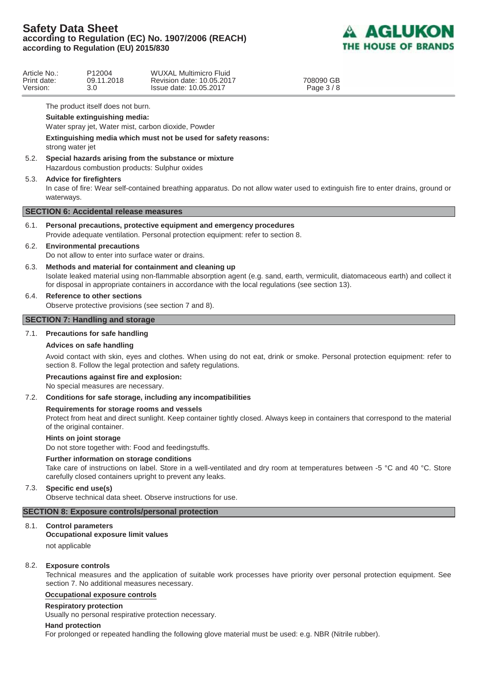

| Article No.: | P <sub>12004</sub> | WUXAL Multimicro Fluid    |  |
|--------------|--------------------|---------------------------|--|
| Print date:  | 09.11.2018         | Revision date: 10.05.2017 |  |
| Version:     | 3.0                | Issue date: 10.05.2017    |  |

08090 GB Page 3 / 8

The product itself does not burn.

## **Suitable extinguishing media:**

Water spray jet, Water mist, carbon dioxide, Powder

**Extinguishing media which must not be used for safety reasons:**

strong water jet

5.2. **Special hazards arising from the substance or mixture** Hazardous combustion products: Sulphur oxides

## 5.3. **Advice for firefighters**

In case of fire: Wear self-contained breathing apparatus. Do not allow water used to extinguish fire to enter drains, ground or waterways.

## **SECTION 6: Accidental release measures**

6.1. **Personal precautions, protective equipment and emergency procedures** Provide adequate ventilation. Personal protection equipment: refer to section 8.

## 6.2. **Environmental precautions**

Do not allow to enter into surface water or drains.

6.3. **Methods and material for containment and cleaning up**

 Isolate leaked material using non-flammable absorption agent (e.g. sand, earth, vermiculit, diatomaceous earth) and collect it for disposal in appropriate containers in accordance with the local regulations (see section 13).

## 6.4. **Reference to other sections**

Observe protective provisions (see section 7 and 8).

## **SECTION 7: Handling and storage**

## 7.1. **Precautions for safe handling**

#### **Advices on safe handling**

Avoid contact with skin, eyes and clothes. When using do not eat, drink or smoke. Personal protection equipment: refer to section 8. Follow the legal protection and safety regulations.

#### **Precautions against fire and explosion:**

No special measures are necessary.

#### 7.2. **Conditions for safe storage, including any incompatibilities**

#### **Requirements for storage rooms and vessels**

Protect from heat and direct sunlight. Keep container tightly closed. Always keep in containers that correspond to the material of the original container.

### **Hints on joint storage**

Do not store together with: Food and feedingstuffs.

#### **Further information on storage conditions**

Take care of instructions on label. Store in a well-ventilated and dry room at temperatures between -5 °C and 40 °C. Store carefully closed containers upright to prevent any leaks.

## 7.3. **Specific end use(s)**

Observe technical data sheet. Observe instructions for use.

## **SECTION 8: Exposure controls/personal protection**

#### 8.1. **Control parameters**

## **Occupational exposure limit values**

not applicable

#### 8.2. **Exposure controls**

Technical measures and the application of suitable work processes have priority over personal protection equipment. See section 7. No additional measures necessary.

## **Occupational exposure controls**

#### **Respiratory protection**

Usually no personal respirative protection necessary.

#### **Hand protection**

For prolonged or repeated handling the following glove material must be used: e.g. NBR (Nitrile rubber).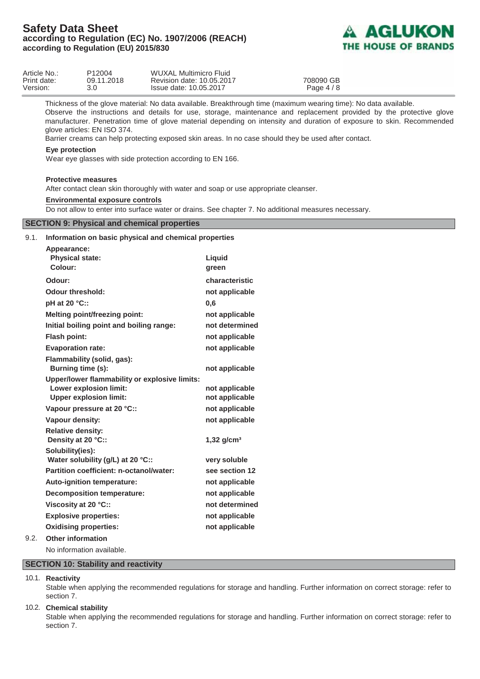

| Article No.: | P12004     | WUXAL Multimicro Fluid    |            |  |
|--------------|------------|---------------------------|------------|--|
| Print date:  | 09.11.2018 | Revision date: 10.05.2017 | 708090 GB  |  |
| Version:     |            | Issue date: 10.05.2017    | Page $4/8$ |  |

Thickness of the glove material: No data available. Breakthrough time (maximum wearing time): No data available.

Observe the instructions and details for use, storage, maintenance and replacement provided by the protective glove manufacturer. Penetration time of glove material depending on intensity and duration of exposure to skin. Recommended glove articles: EN ISO 374.

Barrier creams can help protecting exposed skin areas. In no case should they be used after contact.

#### **Eye protection**

Wear eye glasses with side protection according to EN 166.

#### **Protective measures**

After contact clean skin thoroughly with water and soap or use appropriate cleanser.

#### **Environmental exposure controls**

Do not allow to enter into surface water or drains. See chapter 7. No additional measures necessary.

## **SECTION 9: Physical and chemical properties**

| 9.1. | Information on basic physical and chemical properties                                                           |                                  |
|------|-----------------------------------------------------------------------------------------------------------------|----------------------------------|
|      | Appearance:<br><b>Physical state:</b><br>Colour:                                                                | Liquid<br>green                  |
|      | Odour:                                                                                                          | characteristic                   |
|      | <b>Odour threshold:</b>                                                                                         | not applicable                   |
|      | pH at 20 °C::                                                                                                   | 0,6                              |
|      | <b>Melting point/freezing point:</b>                                                                            | not applicable                   |
|      | Initial boiling point and boiling range:                                                                        | not determined                   |
|      | <b>Flash point:</b>                                                                                             | not applicable                   |
|      | <b>Evaporation rate:</b>                                                                                        | not applicable                   |
|      | Flammability (solid, gas):<br>Burning time (s):                                                                 | not applicable                   |
|      | Upper/lower flammability or explosive limits:<br><b>Lower explosion limit:</b><br><b>Upper explosion limit:</b> | not applicable<br>not applicable |
|      | Vapour pressure at 20 °C::                                                                                      | not applicable                   |
|      | Vapour density:                                                                                                 | not applicable                   |
|      | <b>Relative density:</b><br>Density at 20 °C::                                                                  | $1,32$ g/cm <sup>3</sup>         |
|      | Solubility(ies):<br>Water solubility (g/L) at 20 °C::                                                           | very soluble                     |
|      | Partition coefficient: n-octanol/water:                                                                         | see section 12                   |
|      | Auto-ignition temperature:                                                                                      | not applicable                   |
|      | <b>Decomposition temperature:</b>                                                                               | not applicable                   |
|      | Viscosity at 20 °C::                                                                                            | not determined                   |
|      | <b>Explosive properties:</b>                                                                                    | not applicable                   |
|      | <b>Oxidising properties:</b>                                                                                    | not applicable                   |
| 9.2. | <b>Other information</b>                                                                                        |                                  |
|      | No information available.                                                                                       |                                  |

**SECTION 10: Stability and reactivity**

10.1. **Reactivity**

Stable when applying the recommended regulations for storage and handling. Further information on correct storage: refer to section 7.

#### 10.2. **Chemical stability**

Stable when applying the recommended regulations for storage and handling. Further information on correct storage: refer to section 7.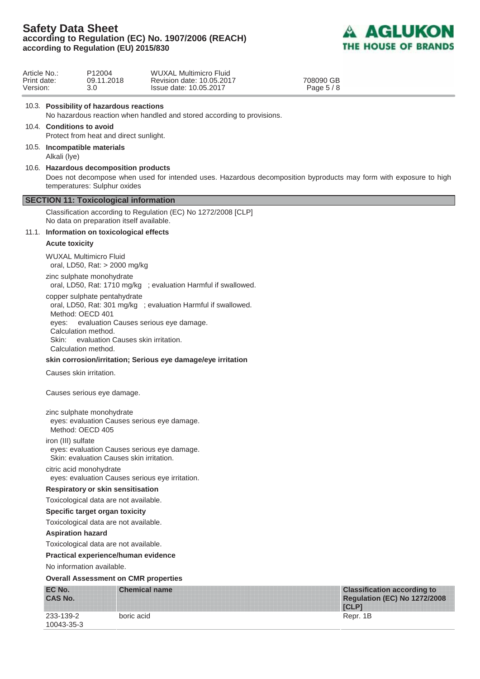

708090 GB Page 5 / 8

| Article No.: | P <sub>12004</sub> | WUXAL Multimicro Fluid    |
|--------------|--------------------|---------------------------|
| Print date:  | 09.11.2018         | Revision date: 10.05.2017 |
| Version:     | 3.0                | Issue date: 10.05.2017    |
|              |                    |                           |

## 10.3. **Possibility of hazardous reactions**

No hazardous reaction when handled and stored according to provisions.

## 10.4. **Conditions to avoid**

Protect from heat and direct sunlight.

- 10.5. **Incompatible materials** Alkali (lye)
- 10.6. **Hazardous decomposition products** Does not decompose when used for intended uses. Hazardous decomposition byproducts may form with exposure to high temperatures: Sulphur oxides

## **SECTION 11: Toxicological information**

 Classification according to Regulation (EC) No 1272/2008 [CLP] No data on preparation itself available.

#### 11.1. **Information on toxicological effects**

#### **Acute toxicity**

WUXAL Multimicro Fluid oral, LD50, Rat: > 2000 mg/kg

zinc sulphate monohydrate oral, LD50, Rat: 1710 mg/kg ; evaluation Harmful if swallowed.

copper sulphate pentahydrate oral, LD50, Rat: 301 mg/kg ; evaluation Harmful if swallowed. Method: OECD 401 eyes: evaluation Causes serious eye damage. Calculation method. Skin: evaluation Causes skin irritation. Calculation method.

#### **skin corrosion/irritation; Serious eye damage/eye irritation**

Causes skin irritation.

Causes serious eye damage.

#### zinc sulphate monohydrate

eyes: evaluation Causes serious eye damage. Method: OECD 405

iron (III) sulfate

eyes: evaluation Causes serious eye damage.

Skin: evaluation Causes skin irritation.

#### citric acid monohydrate

eyes: evaluation Causes serious eye irritation.

#### **Respiratory or skin sensitisation**

Toxicological data are not available.

#### **Specific target organ toxicity**

Toxicological data are not available.

## **Aspiration hazard**

Toxicological data are not available.

#### **Practical experience/human evidence**

No information available.

#### **Overall Assessment on CMR properties**

| EC No.<br><b>CAS No.</b> | <b>Chemical name</b> | <b>Classification according to</b><br><b>Regulation (EC) No 1272/2008</b><br><b>TCLPT</b> |
|--------------------------|----------------------|-------------------------------------------------------------------------------------------|
| 233-139-2<br>10043-35-3  | boric acid           | Repr. 1B                                                                                  |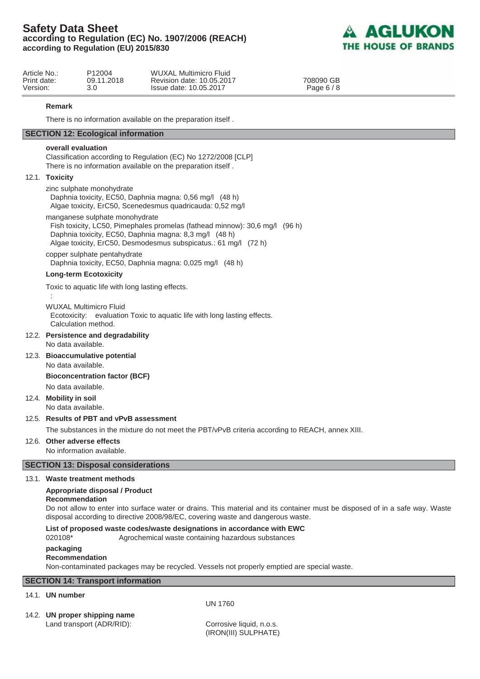

| Article No.: | P <sub>12004</sub> | <b>WUXAL Multimicro Fluid</b> |
|--------------|--------------------|-------------------------------|
| Print date:  | 09.11.2018         | Revision date: 10.05.2017     |
| Version:     | 3.0                | Issue date: 10.05.2017        |

708090 GB Page 6 / 8

#### **Remark**

There is no information available on the preparation itself .

## **SECTION 12: Ecological information**

#### **overall evaluation**

 Classification according to Regulation (EC) No 1272/2008 [CLP] There is no information available on the preparation itself .

#### 12.1. **Toxicity**

:

zinc sulphate monohydrate Daphnia toxicity, EC50, Daphnia magna: 0,56 mg/l (48 h) Algae toxicity, ErC50, Scenedesmus quadricauda: 0,52 mg/l

manganese sulphate monohydrate

Fish toxicity, LC50, Pimephales promelas (fathead minnow): 30,6 mg/l (96 h) Daphnia toxicity, EC50, Daphnia magna: 8,3 mg/l (48 h) Algae toxicity, ErC50, Desmodesmus subspicatus.: 61 mg/l (72 h)

copper sulphate pentahydrate Daphnia toxicity, EC50, Daphnia magna: 0,025 mg/l (48 h)

## **Long-term Ecotoxicity**

Toxic to aquatic life with long lasting effects.

WUXAL Multimicro Fluid Ecotoxicity: evaluation Toxic to aquatic life with long lasting effects. Calculation method.

#### 12.2. **Persistence and degradability**

No data available.

12.3. **Bioaccumulative potential** No data available.

#### **Bioconcentration factor (BCF)**

No data available.

12.4. **Mobility in soil**

No data available.

## 12.5. **Results of PBT and vPvB assessment**

The substances in the mixture do not meet the PBT/vPvB criteria according to REACH, annex XIII.

#### 12.6. **Other adverse effects** No information available.

# **SECTION 13: Disposal considerations**

#### 13.1. **Waste treatment methods**

### **Appropriate disposal / Product**

### **Recommendation**

 Do not allow to enter into surface water or drains. This material and its container must be disposed of in a safe way. Waste disposal according to directive 2008/98/EC, covering waste and dangerous waste.

**List of proposed waste codes/waste designations in accordance with EWC**

020108\* Agrochemical waste containing hazardous substances

#### **packaging**

#### **Recommendation**

Non-contaminated packages may be recycled. Vessels not properly emptied are special waste.

## **SECTION 14: Transport information**

## 14.1. **UN number**

UN 1760

# 14.2. **UN proper shipping name**

Land transport (ADR/RID): Corrosive liquid, n.o.s.

(IRON(III) SULPHATE)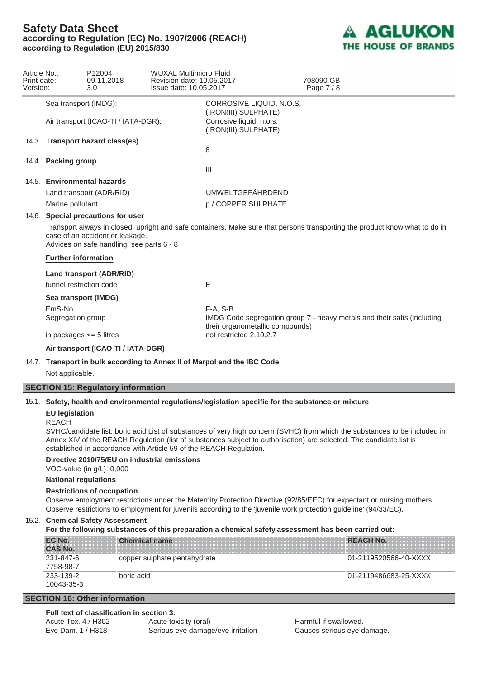

| Article No.:<br>Print date:<br>Version: |                                                                                                                                                                                                             | P12004<br>09.11.2018<br>3.0         | <b>WUXAL Multimicro Fluid</b><br>Revision date: 10.05.2017<br>Issue date: 10.05.2017 |                                                  |  | 708090 GB<br>Page 7/8                                                   |
|-----------------------------------------|-------------------------------------------------------------------------------------------------------------------------------------------------------------------------------------------------------------|-------------------------------------|--------------------------------------------------------------------------------------|--------------------------------------------------|--|-------------------------------------------------------------------------|
|                                         | Sea transport (IMDG):                                                                                                                                                                                       |                                     |                                                                                      | CORROSIVE LIQUID, N.O.S.<br>(IRON(III) SULPHATE) |  |                                                                         |
|                                         |                                                                                                                                                                                                             | Air transport (ICAO-TI / IATA-DGR): |                                                                                      | Corrosive liquid, n.o.s.<br>(IRON(III) SULPHATE) |  |                                                                         |
|                                         |                                                                                                                                                                                                             | 14.3. Transport hazard class(es)    |                                                                                      | 8                                                |  |                                                                         |
|                                         | 14.4. Packing group                                                                                                                                                                                         |                                     |                                                                                      | $\mathbf{III}$                                   |  |                                                                         |
|                                         |                                                                                                                                                                                                             | 14.5. Environmental hazards         |                                                                                      |                                                  |  |                                                                         |
|                                         |                                                                                                                                                                                                             | Land transport (ADR/RID)            |                                                                                      | <b>UMWELTGEFÄHRDEND</b>                          |  |                                                                         |
|                                         | Marine pollutant                                                                                                                                                                                            |                                     | p / COPPER SULPHATE                                                                  |                                                  |  |                                                                         |
|                                         |                                                                                                                                                                                                             | 14.6. Special precautions for user  |                                                                                      |                                                  |  |                                                                         |
|                                         | Transport always in closed, upright and safe containers. Make sure that persons transporting the product know what to do in<br>case of an accident or leakage.<br>Advices on safe handling: see parts 6 - 8 |                                     |                                                                                      |                                                  |  |                                                                         |
|                                         | <b>Further information</b>                                                                                                                                                                                  |                                     |                                                                                      |                                                  |  |                                                                         |
|                                         |                                                                                                                                                                                                             | <b>Land transport (ADR/RID)</b>     |                                                                                      |                                                  |  |                                                                         |
|                                         | tunnel restriction code                                                                                                                                                                                     |                                     |                                                                                      | E                                                |  |                                                                         |
|                                         | Sea transport (IMDG)                                                                                                                                                                                        |                                     |                                                                                      |                                                  |  |                                                                         |
|                                         | EmS-No.                                                                                                                                                                                                     |                                     |                                                                                      | $F-A. S-B$                                       |  |                                                                         |
|                                         | Segregation group                                                                                                                                                                                           |                                     |                                                                                      | their organometallic compounds)                  |  | IMDG Code segregation group 7 - heavy metals and their salts (including |
|                                         | in packages $\leq$ 5 litres                                                                                                                                                                                 |                                     |                                                                                      | not restricted 2.10.2.7                          |  |                                                                         |
|                                         |                                                                                                                                                                                                             | Air transport (ICAO-TI / IATA-DGR)  |                                                                                      |                                                  |  |                                                                         |

## 14.7. **Transport in bulk according to Annex II of Marpol and the IBC Code**

Not applicable.

## **SECTION 15: Regulatory information**

#### 15.1. **Safety, health and environmental regulations/legislation specific for the substance or mixture**

#### **EU legislation**

#### REACH

SVHC/candidate list: boric acid List of substances of very high concern (SVHC) from which the substances to be included in Annex XIV of the REACH Regulation (list of substances subject to authorisation) are selected. The candidate list is established in accordance with Article 59 of the REACH Regulation.

#### **Directive 2010/75/EU on industrial emissions**

VOC-value (in g/L): 0,000

## **National regulations**

#### **Restrictions of occupation**

Observe employment restrictions under the Maternity Protection Directive (92/85/EEC) for expectant or nursing mothers. Observe restrictions to employment for juvenils according to the 'juvenile work protection guideline' (94/33/EC).

## 15.2. **Chemical Safety Assessment**

#### **For the following substances of this preparation a chemical safety assessment has been carried out:**

| EC No.<br><b>CAS No.</b> | <b>Chemical name</b>         | <b>REACH No.</b>      |
|--------------------------|------------------------------|-----------------------|
| 231-847-6<br>7758-98-7   | copper sulphate pentahydrate | 01-2119520566-40-XXXX |
| 233-139-2<br>10043-35-3  | boric acid                   | 01-2119486683-25-XXXX |

## **SECTION 16: Other information**

### **Full text of classification in section 3:**

| Acute Tox, $4/$ H302 | Acute toxicity (oral)             | Harmful if swallowed.      |
|----------------------|-----------------------------------|----------------------------|
| Eye Dam. 1 / H318    | Serious eye damage/eye irritation | Causes serious eye damage. |